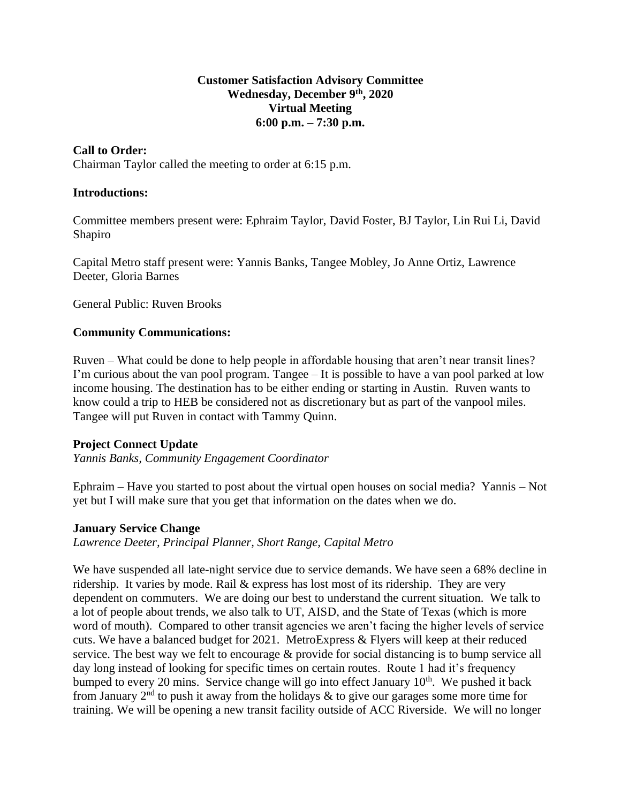### **Customer Satisfaction Advisory Committee Wednesday, December 9 th , 2020 Virtual Meeting 6:00 p.m. – 7:30 p.m.**

## **Call to Order:**

Chairman Taylor called the meeting to order at 6:15 p.m.

### **Introductions:**

Committee members present were: Ephraim Taylor, David Foster, BJ Taylor, Lin Rui Li, David Shapiro

Capital Metro staff present were: Yannis Banks, Tangee Mobley, Jo Anne Ortiz, Lawrence Deeter, Gloria Barnes

General Public: Ruven Brooks

## **Community Communications:**

Ruven – What could be done to help people in affordable housing that aren't near transit lines? I'm curious about the van pool program. Tangee – It is possible to have a van pool parked at low income housing. The destination has to be either ending or starting in Austin. Ruven wants to know could a trip to HEB be considered not as discretionary but as part of the vanpool miles. Tangee will put Ruven in contact with Tammy Quinn.

## **Project Connect Update**

*Yannis Banks, Community Engagement Coordinator*

Ephraim – Have you started to post about the virtual open houses on social media? Yannis – Not yet but I will make sure that you get that information on the dates when we do.

#### **January Service Change**

*Lawrence Deeter, Principal Planner, Short Range, Capital Metro*

We have suspended all late-night service due to service demands. We have seen a 68% decline in ridership. It varies by mode. Rail & express has lost most of its ridership. They are very dependent on commuters. We are doing our best to understand the current situation. We talk to a lot of people about trends, we also talk to UT, AISD, and the State of Texas (which is more word of mouth). Compared to other transit agencies we aren't facing the higher levels of service cuts. We have a balanced budget for 2021. MetroExpress & Flyers will keep at their reduced service. The best way we felt to encourage & provide for social distancing is to bump service all day long instead of looking for specific times on certain routes. Route 1 had it's frequency bumped to every 20 mins. Service change will go into effect January  $10<sup>th</sup>$ . We pushed it back from January  $2<sup>nd</sup>$  to push it away from the holidays & to give our garages some more time for training. We will be opening a new transit facility outside of ACC Riverside. We will no longer